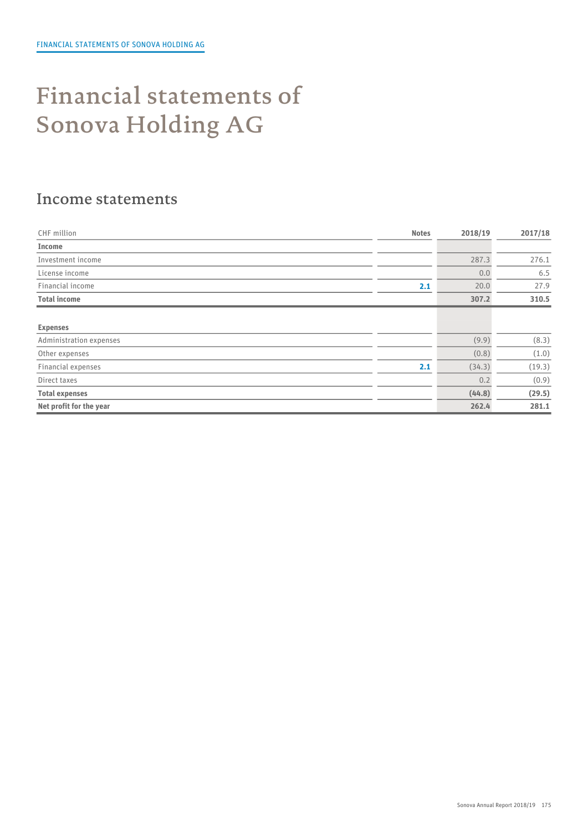# Financial statements of Sonova Holding AG

#### Income statements

| CHF million             | <b>Notes</b> | 2018/19 | 2017/18 |  |
|-------------------------|--------------|---------|---------|--|
| Income                  |              |         |         |  |
| Investment income       |              | 287.3   | 276.1   |  |
| License income          |              | 0.0     | 6.5     |  |
| Financial income        | 2.1          | 20.0    | 27.9    |  |
| <b>Total income</b>     |              | 307.2   | 310.5   |  |
|                         |              |         |         |  |
| <b>Expenses</b>         |              |         |         |  |
| Administration expenses |              | (9.9)   | (8.3)   |  |
| Other expenses          |              | (0.8)   | (1.0)   |  |
| Financial expenses      | 2.1          | (34.3)  | (19.3)  |  |
| Direct taxes            |              | 0.2     | (0.9)   |  |
| <b>Total expenses</b>   |              | (44.8)  | (29.5)  |  |
| Net profit for the year |              | 262.4   | 281.1   |  |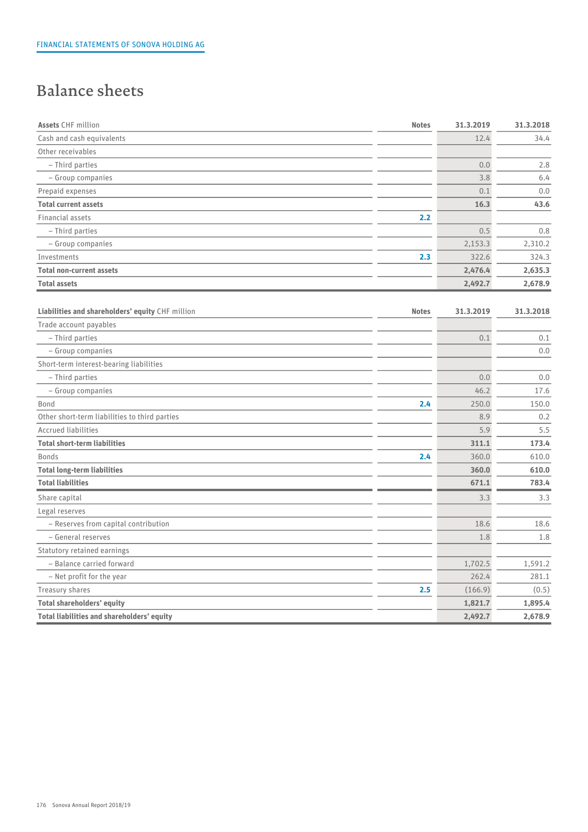# Balance sheets

| <b>Assets CHF million</b>                        | <b>Notes</b> | 31.3.2019 | 31.3.2018 |
|--------------------------------------------------|--------------|-----------|-----------|
| Cash and cash equivalents                        |              | 12.4      | 34.4      |
| Other receivables                                |              |           |           |
| - Third parties                                  |              | 0.0       | 2.8       |
| - Group companies                                |              | 3.8       | 6.4       |
| Prepaid expenses                                 |              | 0.1       | $0.0\,$   |
| <b>Total current assets</b>                      |              | 16.3      | 43.6      |
| Financial assets                                 | 2.2          |           |           |
| - Third parties                                  |              | 0.5       | 0.8       |
| - Group companies                                |              | 2,153.3   | 2,310.2   |
| Investments                                      | 2.3          | 322.6     | 324.3     |
| <b>Total non-current assets</b>                  |              | 2,476.4   | 2,635.3   |
| <b>Total assets</b>                              |              | 2,492.7   | 2,678.9   |
|                                                  |              |           |           |
| Liabilities and shareholders' equity CHF million | <b>Notes</b> | 31.3.2019 | 31.3.2018 |
| Trade account payables                           |              |           |           |
| - Third parties                                  |              | 0.1       | 0.1       |
| - Group companies                                |              |           | 0.0       |
| Short-term interest-bearing liabilities          |              |           |           |
| - Third parties                                  |              | 0.0       | 0.0       |
| - Group companies                                |              | 46.2      | 17.6      |
| Bond                                             | 2.4          | 250.0     | 150.0     |
| Other short-term liabilities to third parties    |              | 8.9       | 0.2       |
| <b>Accrued liabilities</b>                       |              | 5.9       | 5.5       |
| <b>Total short-term liabilities</b>              |              | 311.1     | 173.4     |
| <b>Bonds</b>                                     | 2.4          | 360.0     | 610.0     |
| <b>Total long-term liabilities</b>               |              | 360.0     | 610.0     |
| <b>Total liabilities</b>                         |              | 671.1     | 783.4     |
| Share capital                                    |              | 3.3       | 3.3       |
| Legal reserves                                   |              |           |           |
| - Reserves from capital contribution             |              | 18.6      | 18.6      |
| - General reserves                               |              | 1.8       | 1.8       |
| Statutory retained earnings                      |              |           |           |
| - Balance carried forward                        |              | 1,702.5   | 1,591.2   |
| - Net profit for the year                        |              | 262.4     | 281.1     |
| Treasury shares                                  | 2.5          | (166.9)   | (0.5)     |
| <b>Total shareholders' equity</b>                |              | 1,821.7   | 1,895.4   |
| Total liabilities and shareholders' equity       |              | 2,492.7   | 2,678.9   |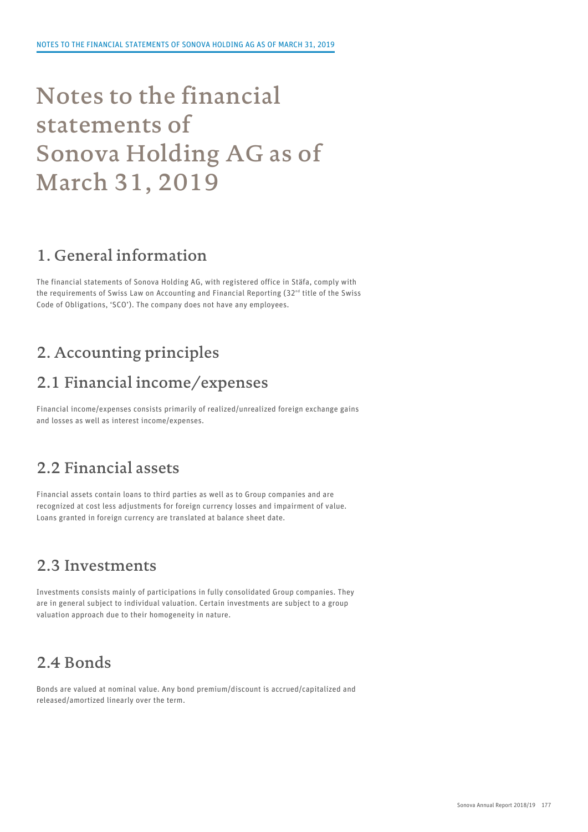# Notes to the financial statements of Sonova Holding AG as of March 31, 2019

## 1. General information

The financial statements of Sonova Holding AG, with registered office in Stäfa, comply with the requirements of Swiss Law on Accounting and Financial Reporting (32 $^{\text{\tiny nd}}$  title of the Swiss Code of Obligations, 'SCO'). The company does not have any employees.

# 2. Accounting principles

### 2.1 Financial income/expenses

Financial income/expenses consists primarily of realized/unrealized foreign exchange gains and losses as well as interest income/expenses.

### 2.2 Financial assets

Financial assets contain loans to third parties as well as to Group companies and are recognized at cost less adjustments for foreign currency losses and impairment of value. Loans granted in foreign currency are translated at balance sheet date.

#### 2.3 Investments

Investments consists mainly of participations in fully consolidated Group companies. They are in general subject to individual valuation. Certain investments are subject to a group valuation approach due to their homogeneity in nature.

# 2.4 Bonds

Bonds are valued at nominal value. Any bond premium/discount is accrued/capitalized and released/amortized linearly over the term.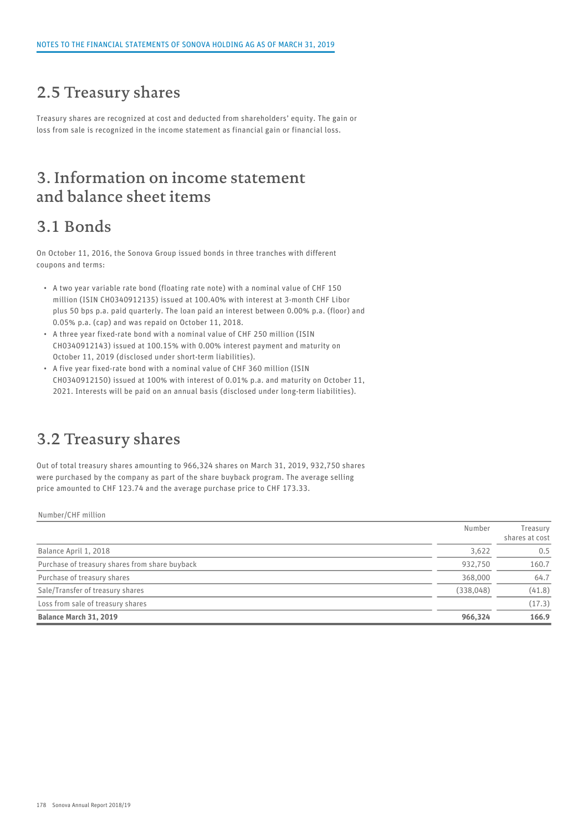#### 2.5 Treasury shares

Treasury shares are recognized at cost and deducted from shareholders' equity. The gain or loss from sale is recognized in the income statement as financial gain or financial loss.

### 3. Information on income statement and balance sheet items

### 3.1 Bonds

On October 11, 2016, the Sonova Group issued bonds in three tranches with different coupons and terms:

- A two year variable rate bond (floating rate note) with a nominal value of CHF 150 million (ISIN CH0340912135) issued at 100.40% with interest at 3-month CHF Libor plus 50 bps p.a. paid quarterly. The loan paid an interest between 0.00% p.a. (floor) and 0.05% p.a. (cap) and was repaid on October 11, 2018.
- A three year fixed-rate bond with a nominal value of CHF 250 million (ISIN CH0340912143) issued at 100.15% with 0.00% interest payment and maturity on October 11, 2019 (disclosed under short-term liabilities).
- A five year fixed-rate bond with a nominal value of CHF 360 million (ISIN CH0340912150) issued at 100% with interest of 0.01% p.a. and maturity on October 11, 2021. Interests will be paid on an annual basis (disclosed under long-term liabilities).

### 3.2 Treasury shares

Out of total treasury shares amounting to 966,324 shares on March 31, 2019, 932,750 shares were purchased by the company as part of the share buyback program. The average selling price amounted to CHF 123.74 and the average purchase price to CHF 173.33.

Number/CHF million

|                                                | Number    | Treasury<br>shares at cost |  |
|------------------------------------------------|-----------|----------------------------|--|
| Balance April 1, 2018                          | 3,622     | 0.5                        |  |
| Purchase of treasury shares from share buyback | 932.750   | 160.7                      |  |
| Purchase of treasury shares                    | 368,000   | 64.7                       |  |
| Sale/Transfer of treasury shares               | (338,048) | (41.8)                     |  |
| Loss from sale of treasury shares              |           | (17.3)                     |  |
| Balance March 31, 2019                         | 966,324   | 166.9                      |  |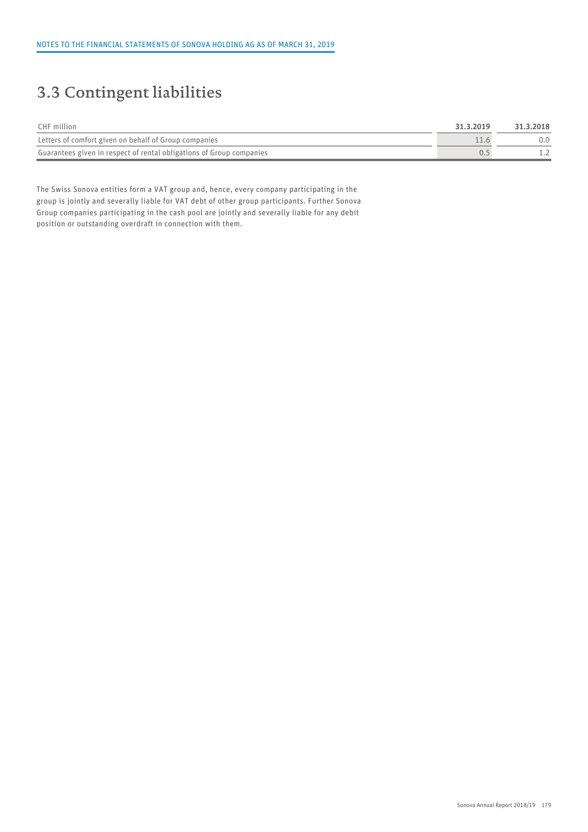# 3.3 Contingent liabilities

| CHF million                                                          | 31.3.2019 | 31.3.2018 |  |
|----------------------------------------------------------------------|-----------|-----------|--|
| Letters of comfort given on behalf of Group companies                |           | 0.0       |  |
| Guarantees given in respect of rental obligations of Group companies |           | $- - -$   |  |

The Swiss Sonova entities form a VAT group and, hence, every company participating in the group is jointly and severally liable for VAT debt of other group participants. Further Sonova Group companies participating in the cash pool are jointly and severally liable for any debit position or outstanding overdraft in connection with them.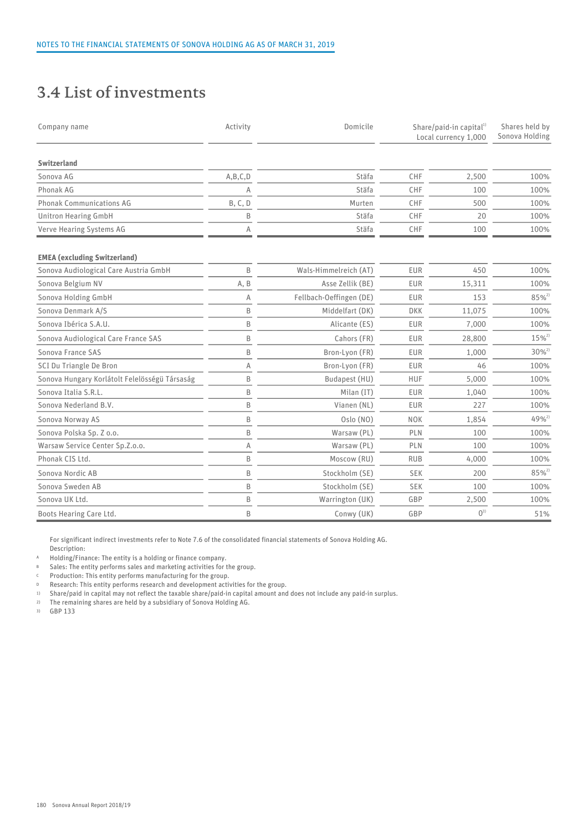### 3.4 List of investments

| Company name                                  | Activity     | Domicile                | Share/paid-in capital <sup>1)</sup><br>Local currency 1,000 |         | Shares held by<br>Sonova Holding |
|-----------------------------------------------|--------------|-------------------------|-------------------------------------------------------------|---------|----------------------------------|
| Switzerland                                   |              |                         |                                                             |         |                                  |
| Sonova AG                                     | A, B, C, D   | Stäfa                   | CHF                                                         | 2,500   | 100%                             |
| Phonak AG                                     | $\Delta$     | Stäfa                   | CHF                                                         | 100     | 100%                             |
| <b>Phonak Communications AG</b>               | B, C, D      | Murten                  | CHF                                                         | 500     | 100%                             |
| Unitron Hearing GmbH                          | <sub>B</sub> | Stäfa                   | CHF                                                         | 20      | 100%                             |
| Verve Hearing Systems AG                      | A            | Stäfa                   | CHF                                                         | 100     | 100%                             |
| <b>EMEA (excluding Switzerland)</b>           |              |                         |                                                             |         |                                  |
| Sonova Audiological Care Austria GmbH         | B            | Wals-Himmelreich (AT)   | EUR                                                         | 450     | 100%                             |
| Sonova Belgium NV                             | A, B         | Asse Zellik (BE)        | EUR                                                         | 15,311  | 100%                             |
| Sonova Holding GmbH                           | A            | Fellbach-Oeffingen (DE) | EUR                                                         | 153     | $85%^{2}$                        |
| Sonova Denmark A/S                            | B            | Middelfart (DK)         | <b>DKK</b>                                                  | 11,075  | 100%                             |
| Sonova Ibérica S.A.U.                         | $\mathsf{B}$ | Alicante (ES)           | EUR                                                         | 7,000   | 100%                             |
| Sonova Audiological Care France SAS           | B            | Cahors (FR)             | EUR                                                         | 28,800  | $15\%^{2}$                       |
| Sonova France SAS                             | B            | Bron-Lyon (FR)          | EUR                                                         | 1,000   | $30\%^{2}$                       |
| SCI Du Triangle De Bron                       | A            | Bron-Lyon (FR)          | EUR                                                         | 46      | 100%                             |
| Sonova Hungary Korlátolt Felelösségü Társaság | B            | Budapest (HU)           | <b>HUF</b>                                                  | 5,000   | 100%                             |
| Sonova Italia S.R.L.                          | B            | Milan (IT)              | EUR                                                         | 1,040   | 100%                             |
| Sonova Nederland B.V.                         | $\mathsf{B}$ | Vianen (NL)             | EUR                                                         | 227     | 100%                             |
| Sonova Norway AS                              | B            | Oslo (NO)               | <b>NOK</b>                                                  | 1,854   | $49%^{2}$                        |
| Sonova Polska Sp. Z o.o.                      | B            | Warsaw (PL)             | PLN                                                         | 100     | 100%                             |
| Warsaw Service Center Sp.Z.o.o.               | A            | Warsaw (PL)             | PLN                                                         | 100     | 100%                             |
| Phonak CIS Ltd.                               | R            | Moscow (RU)             | <b>RUB</b>                                                  | 4,000   | 100%                             |
| Sonova Nordic AB                              | B            | Stockholm (SE)          | SEK                                                         | 200     | $85%^{2}$                        |
| Sonova Sweden AB                              | B            | Stockholm (SE)          | SEK                                                         | 100     | 100%                             |
| Sonova UK Ltd.                                | B            | Warrington (UK)         | GBP                                                         | 2,500   | 100%                             |
| Boots Hearing Care Ltd.                       | B            | Conwy (UK)              | GBP                                                         | $0^{3}$ | 51%                              |

For significant indirect investments refer to Note 7.6 of the consolidated financial statements of Sonova Holding AG. Description:

A Holding/Finance: The entity is a holding or finance company.<br>B Sales: The entity performs sales and marketing activities for t

Sales: The entity performs sales and marketing activities for the group.

<sup>C</sup> Production: This entity performs manufacturing for the group.

D Research: This entity performs research and development activities for the group.<br>
1) Share/paid in capital may not reflect the taxable share/paid-in capital amount and

1) Share/paid in capital may not reflect the taxable share/paid-in capital amount and does not include any paid-in surplus.

2) The remaining shares are held by a subsidiary of Sonova Holding AG.

3) GBP 133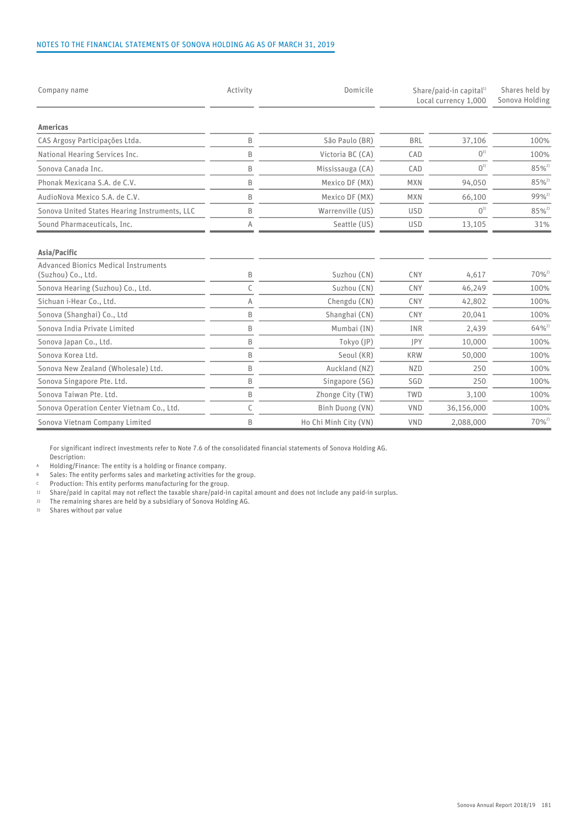#### NOTES TO THE FINANCIAL STATEMENTS OF SONOVA HOLDING AG AS OF MARCH 31, 2019

| Company name                                                               | Activity | Domicile              | Share/paid-in capital <sup>1)</sup><br>Local currency 1,000 |            | Shares held by<br>Sonova Holding |
|----------------------------------------------------------------------------|----------|-----------------------|-------------------------------------------------------------|------------|----------------------------------|
| Americas                                                                   |          |                       |                                                             |            |                                  |
| CAS Argosy Participações Ltda.                                             | B        | São Paulo (BR)        | <b>BRL</b>                                                  | 37,106     | 100%                             |
| National Hearing Services Inc.                                             | B        | Victoria BC (CA)      | CAD                                                         | $0^{3}$    | 100%                             |
| Sonova Canada Inc.                                                         | B        | Mississauga (CA)      | CAD                                                         | $0^{3}$    | $85\%^{2}$                       |
| Phonak Mexicana S.A. de C.V.                                               | B        | Mexico DF (MX)        | <b>MXN</b>                                                  | 94,050     | $85\%^{2}$                       |
| AudioNova Mexico S.A. de C.V.                                              | B        | Mexico DF (MX)        | <b>MXN</b>                                                  | 66,100     | $99%^{2}$                        |
| Sonova United States Hearing Instruments, LLC                              | B        | Warrenville (US)      | <b>USD</b>                                                  | $0^{3}$    | $85%^{2}$                        |
| Sound Pharmaceuticals, Inc.                                                |          | Seattle (US)          | <b>USD</b>                                                  | 13,105     | 31%                              |
| Asia/Pacific<br>Advanced Bionics Medical Instruments<br>(Suzhou) Co., Ltd. | B        | Suzhou (CN)           | CNY                                                         | 4,617      | $70\%^{2}$                       |
| Sonova Hearing (Suzhou) Co., Ltd.                                          |          | Suzhou (CN)           | CNY                                                         | 46,249     | 100%                             |
| Sichuan i-Hear Co., Ltd.                                                   | A        | Chengdu (CN)          | CNY                                                         | 42,802     | 100%                             |
| Sonova (Shanghai) Co., Ltd                                                 | B        | Shanghai (CN)         | CNY                                                         | 20,041     | 100%                             |
| Sonova India Private Limited                                               | B        | Mumbai (IN)           | INR                                                         | 2,439      | $64\%^{2}$                       |
| Sonova Japan Co., Ltd.                                                     | B        | Tokyo (JP)            | JPY                                                         | 10,000     | 100%                             |
| Sonova Korea Ltd.                                                          | B        | Seoul (KR)            | <b>KRW</b>                                                  | 50,000     | 100%                             |
| Sonova New Zealand (Wholesale) Ltd.                                        | B        | Auckland (NZ)         | <b>NZD</b>                                                  | 250        | 100%                             |
| Sonova Singapore Pte. Ltd.                                                 | B        | Singapore (SG)        | SGD                                                         | 250        | 100%                             |
| Sonova Taiwan Pte. Ltd.                                                    | B        | Zhonge City (TW)      | TWD                                                         | 3,100      | 100%                             |
| Sonova Operation Center Vietnam Co., Ltd.                                  |          | Binh Duong (VN)       | VND                                                         | 36,156,000 | 100%                             |
| Sonova Vietnam Company Limited                                             | B        | Ho Chi Minh City (VN) | VND                                                         | 2,088,000  | $70%^{2}$                        |

For significant indirect investments refer to Note 7.6 of the consolidated financial statements of Sonova Holding AG. Description:

A Holding/Finance: The entity is a holding or finance company.

B Sales: The entity performs sales and marketing activities for the group.

 $\epsilon$  Production: This entity performs manufacturing for the group.

1) Share/paid in capital may not reflect the taxable share/paid-in capital amount and does not include any paid-in surplus.

2) The remaining shares are held by a subsidiary of Sonova Holding AG.

3) Shares without par value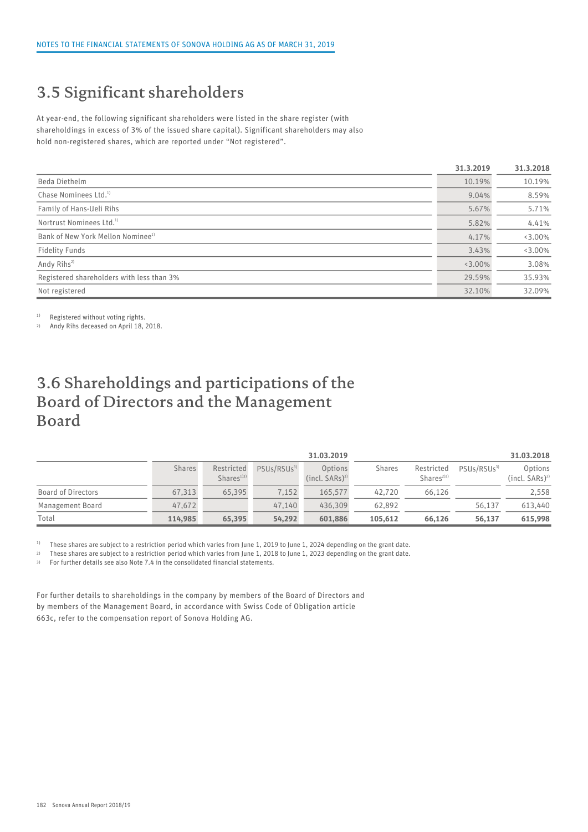# 3.5 Significant shareholders

At year-end, the following significant shareholders were listed in the share register (with shareholdings in excess of 3% of the issued share capital). Significant shareholders may also hold non-registered shares, which are reported under "Not registered".

|                                               | 31.3.2019 | 31.3.2018 |
|-----------------------------------------------|-----------|-----------|
| Beda Diethelm                                 | 10.19%    | 10.19%    |
| Chase Nominees Ltd. <sup>1)</sup>             | 9.04%     | 8.59%     |
| Family of Hans-Ueli Rihs                      | 5.67%     | 5.71%     |
| Nortrust Nominees Ltd. <sup>1)</sup>          | 5.82%     | 4.41%     |
| Bank of New York Mellon Nominee <sup>1)</sup> | 4.17%     | $3.00\%$  |
| Fidelity Funds                                | 3.43%     | $3.00\%$  |
| Andy Rihs <sup>2)</sup>                       | $3.00\%$  | 3.08%     |
| Registered shareholders with less than 3%     | 29.59%    | 35.93%    |
| Not registered                                | 32.10%    | 32.09%    |

<sup>1)</sup> Registered without voting rights.

2) Andy Rihs deceased on April 18, 2018.

## 3.6 Shareholdings and participations of the Board of Directors and the Management Board

|                           |               |                                     |                        | 31.03.2019                    |         |                            |                         | 31.03.2018                  |
|---------------------------|---------------|-------------------------------------|------------------------|-------------------------------|---------|----------------------------|-------------------------|-----------------------------|
|                           | <b>Shares</b> | Restricted<br>Shares <sup>133</sup> | PSUs/RSUs <sup>3</sup> | Options<br>$(incl. SARS)^{3}$ | Shares  | Restricted<br>Shares $2)3$ | PSUs/RSUs <sup>3)</sup> | Options<br>$(incl. SARS)^3$ |
| <b>Board of Directors</b> | 67,313        | 65,395                              | 7,152                  | 165.577                       | 42.720  | 66,126                     |                         | 2,558                       |
| <b>Management Board</b>   | 47,672        |                                     | 47.140                 | 436,309                       | 62.892  |                            | 56,137                  | 613,440                     |
| Total                     | 114,985       | 65,395                              | 54,292                 | 601,886                       | 105,612 | 66,126                     | 56,137                  | 615,998                     |

<sup>1)</sup> These shares are subject to a restriction period which varies from June 1, 2019 to June 1, 2024 depending on the grant date.

2) These shares are subject to a restriction period which varies from June 1, 2018 to June 1, 2023 depending on the grant date.

3) For further details see also Note 7.4 in the consolidated financial statements.

For further details to shareholdings in the company by members of the Board of Directors and by members of the Management Board, in accordance with Swiss Code of Obligation article 663c, refer to the compensation report of Sonova Holding AG.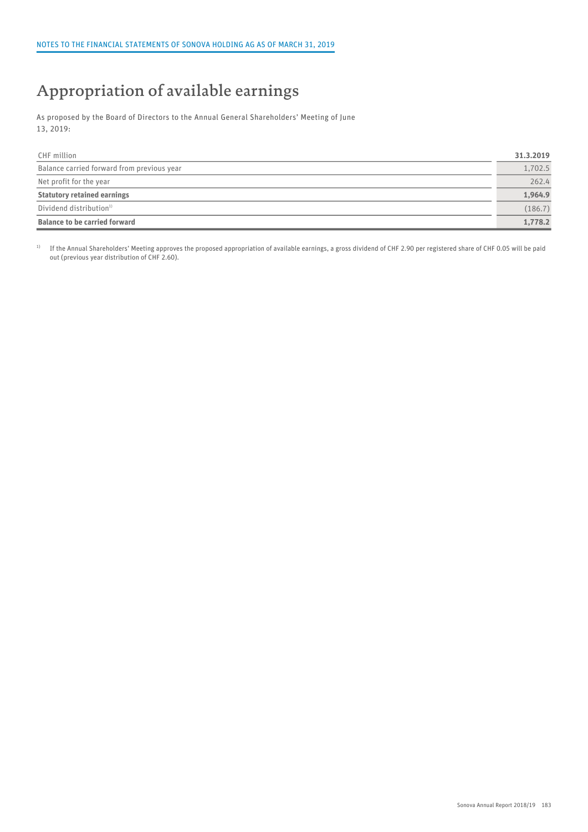# Appropriation of available earnings

As proposed by the Board of Directors to the Annual General Shareholders' Meeting of June 13, 2019:

| CHF million                                | 31.3.2019 |
|--------------------------------------------|-----------|
| Balance carried forward from previous year | 1,702.5   |
| Net profit for the year                    | 262.4     |
| <b>Statutory retained earnings</b>         | 1,964.9   |
| Dividend distribution <sup>1)</sup>        | (186.7)   |
| <b>Balance to be carried forward</b>       | 1,778.2   |

<sup>1)</sup> If the Annual Shareholders' Meeting approves the proposed appropriation of available earnings, a gross dividend of CHF 2.90 per registered share of CHF 0.05 will be paid out (previous year distribution of CHF 2.60).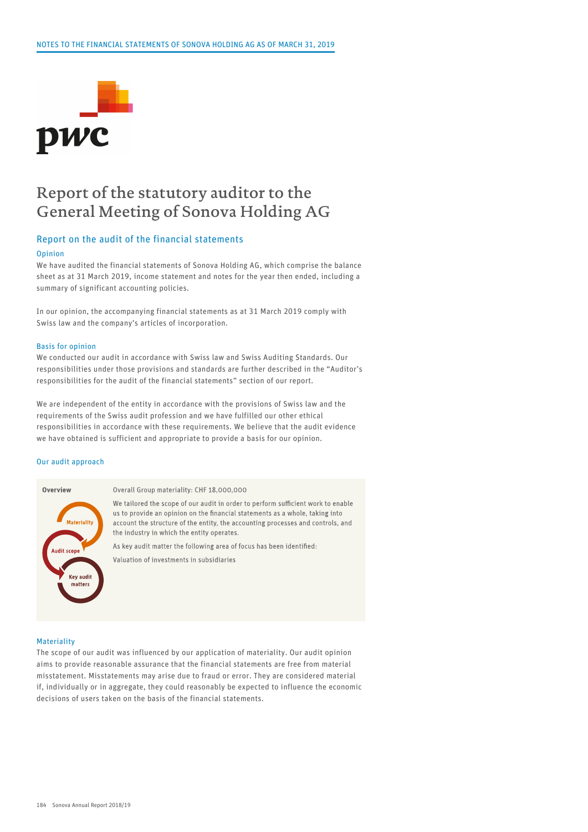

#### Report of the statutory auditor to the General Meeting of Sonova Holding AG

#### Report on the audit of the financial statements

#### Opinion

We have audited the financial statements of Sonova Holding AG, which comprise the balance sheet as at 31 March 2019, income statement and notes for the year then ended, including a summary of significant accounting policies.

In our opinion, the accompanying financial statements as at 31 March 2019 comply with Swiss law and the company's articles of incorporation.

#### Basis for opinion

We conducted our audit in accordance with Swiss law and Swiss Auditing Standards. Our responsibilities under those provisions and standards are further described in the "Auditor's responsibilities for the audit of the financial statements" section of our report.

We are independent of the entity in accordance with the provisions of Swiss law and the requirements of the Swiss audit profession and we have fulfilled our other ethical responsibilities in accordance with these requirements. We believe that the audit evidence we have obtained is sufficient and appropriate to provide a basis for our opinion.

#### Our audit approach



#### Overall Group materiality: CHF 18,000,000

We tailored the scope of our audit in order to perform sufficient work to enable us to provide an opinion on the financial statements as a whole, taking into account the structure of the entity, the accounting processes and controls, and the industry in which the entity operates.

As key audit matter the following area of focus has been identified: Valuation of investments in subsidiaries

#### **Materiality**

The scope of our audit was influenced by our application of materiality. Our audit opinion aims to provide reasonable assurance that the financial statements are free from material misstatement. Misstatements may arise due to fraud or error. They are considered material if, individually or in aggregate, they could reasonably be expected to influence the economic decisions of users taken on the basis of the financial statements.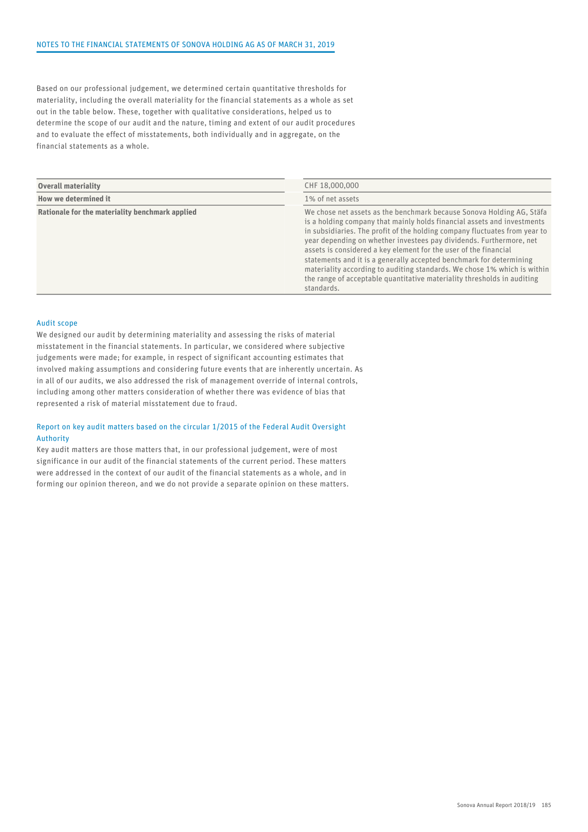Based on our professional judgement, we determined certain quantitative thresholds for materiality, including the overall materiality for the financial statements as a whole as set out in the table below. These, together with qualitative considerations, helped us to determine the scope of our audit and the nature, timing and extent of our audit procedures and to evaluate the effect of misstatements, both individually and in aggregate, on the financial statements as a whole.

| <b>Overall materiality</b>                      | CHF 18,000,000                                                                                                                                                                                                                                                                                                                                                                                                                                                                                                                                                                                                        |
|-------------------------------------------------|-----------------------------------------------------------------------------------------------------------------------------------------------------------------------------------------------------------------------------------------------------------------------------------------------------------------------------------------------------------------------------------------------------------------------------------------------------------------------------------------------------------------------------------------------------------------------------------------------------------------------|
| How we determined it                            | 1% of net assets                                                                                                                                                                                                                                                                                                                                                                                                                                                                                                                                                                                                      |
| Rationale for the materiality benchmark applied | We chose net assets as the benchmark because Sonova Holding AG, Stäfa<br>is a holding company that mainly holds financial assets and investments<br>in subsidiaries. The profit of the holding company fluctuates from year to<br>year depending on whether investees pay dividends. Furthermore, net<br>assets is considered a key element for the user of the financial<br>statements and it is a generally accepted benchmark for determining<br>materiality according to auditing standards. We chose 1% which is within<br>the range of acceptable quantitative materiality thresholds in auditing<br>standards. |

#### Audit scope

We designed our audit by determining materiality and assessing the risks of material misstatement in the financial statements. In particular, we considered where subjective judgements were made; for example, in respect of significant accounting estimates that involved making assumptions and considering future events that are inherently uncertain. As in all of our audits, we also addressed the risk of management override of internal controls, including among other matters consideration of whether there was evidence of bias that represented a risk of material misstatement due to fraud.

#### Report on key audit matters based on the circular 1/2015 of the Federal Audit Oversight Authority

Key audit matters are those matters that, in our professional judgement, were of most significance in our audit of the financial statements of the current period. These matters were addressed in the context of our audit of the financial statements as a whole, and in forming our opinion thereon, and we do not provide a separate opinion on these matters.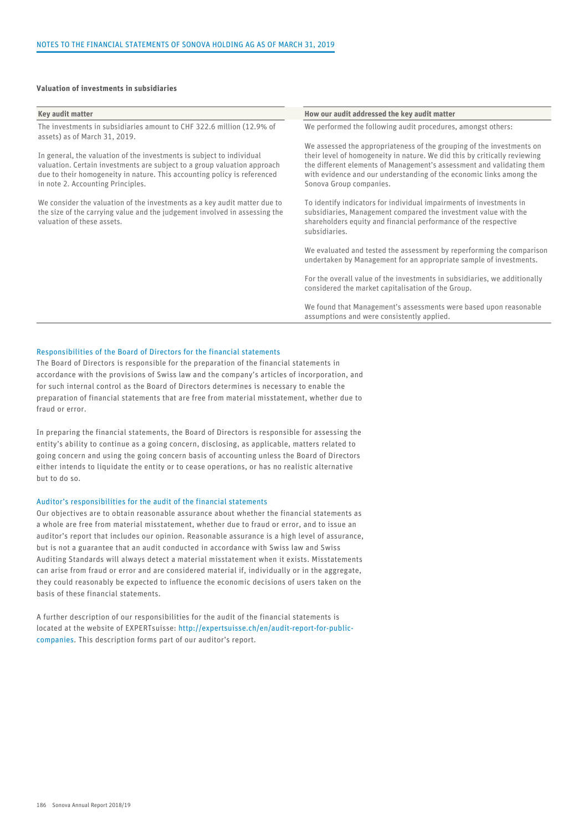#### Valuation of investments in subsidiaries

| Key audit matter                                                                                                                                                                                                                                                   | How our audit addressed the key audit matter                                                                                                                                                                                                         |
|--------------------------------------------------------------------------------------------------------------------------------------------------------------------------------------------------------------------------------------------------------------------|------------------------------------------------------------------------------------------------------------------------------------------------------------------------------------------------------------------------------------------------------|
| The investments in subsidiaries amount to CHF 322.6 million (12.9% of<br>assets) as of March 31, 2019.                                                                                                                                                             | We performed the following audit procedures, amongst others:                                                                                                                                                                                         |
|                                                                                                                                                                                                                                                                    | We assessed the appropriateness of the grouping of the investments on                                                                                                                                                                                |
| In general, the valuation of the investments is subject to individual<br>valuation. Certain investments are subject to a group valuation approach<br>due to their homogeneity in nature. This accounting policy is referenced<br>in note 2. Accounting Principles. | their level of homogeneity in nature. We did this by critically reviewing<br>the different elements of Management's assessment and validating them<br>with evidence and our understanding of the economic links among the<br>Sonova Group companies. |
| We consider the valuation of the investments as a key audit matter due to<br>the size of the carrying value and the judgement involved in assessing the<br>valuation of these assets.                                                                              | To identify indicators for individual impairments of investments in<br>subsidiaries, Management compared the investment value with the<br>shareholders equity and financial performance of the respective<br>subsidiaries.                           |
|                                                                                                                                                                                                                                                                    | We evaluated and tested the assessment by reperforming the comparison<br>undertaken by Management for an appropriate sample of investments.                                                                                                          |
|                                                                                                                                                                                                                                                                    | For the overall value of the investments in subsidiaries, we additionally<br>considered the market capitalisation of the Group.                                                                                                                      |
|                                                                                                                                                                                                                                                                    | We found that Management's assessments were based upon reasonable<br>assumptions and were consistently applied.                                                                                                                                      |

#### Responsibilities of the Board of Directors for the financial statements

The Board of Directors is responsible for the preparation of the financial statements in accordance with the provisions of Swiss law and the company's articles of incorporation, and for such internal control as the Board of Directors determines is necessary to enable the preparation of financial statements that are free from material misstatement, whether due to fraud or error.

In preparing the financial statements, the Board of Directors is responsible for assessing the entity's ability to continue as a going concern, disclosing, as applicable, matters related to going concern and using the going concern basis of accounting unless the Board of Directors either intends to liquidate the entity or to cease operations, or has no realistic alternative but to do so.

#### Auditor's responsibilities for the audit of the financial statements

Our objectives are to obtain reasonable assurance about whether the financial statements as a whole are free from material misstatement, whether due to fraud or error, and to issue an auditor's report that includes our opinion. Reasonable assurance is a high level of assurance, but is not a guarantee that an audit conducted in accordance with Swiss law and Swiss Auditing Standards will always detect a material misstatement when it exists. Misstatements can arise from fraud or error and are considered material if, individually or in the aggregate, they could reasonably be expected to influence the economic decisions of users taken on the basis of these financial statements.

A further description of our responsibilities for the audit of the financial statements is located at the website of EXPERTsuisse: [http://expertsuisse.ch/en/audit-report-for-public](http://expertsuisse.ch/en/audit-report-for-public-companies)[companies](http://expertsuisse.ch/en/audit-report-for-public-companies). This description forms part of our auditor's report.